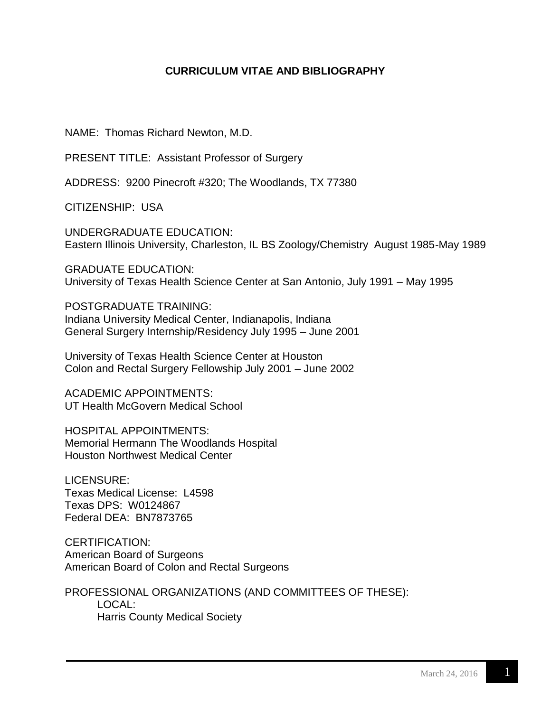## **CURRICULUM VITAE AND BIBLIOGRAPHY**

NAME: Thomas Richard Newton, M.D.

PRESENT TITLE: Assistant Professor of Surgery

ADDRESS: 9200 Pinecroft #320; The Woodlands, TX 77380

CITIZENSHIP: USA

UNDERGRADUATE EDUCATION: Eastern Illinois University, Charleston, IL BS Zoology/Chemistry August 1985-May 1989

GRADUATE EDUCATION: University of Texas Health Science Center at San Antonio, July 1991 – May 1995

POSTGRADUATE TRAINING: Indiana University Medical Center, Indianapolis, Indiana General Surgery Internship/Residency July 1995 – June 2001

University of Texas Health Science Center at Houston Colon and Rectal Surgery Fellowship July 2001 – June 2002

ACADEMIC APPOINTMENTS: UT Health McGovern Medical School

HOSPITAL APPOINTMENTS: Memorial Hermann The Woodlands Hospital Houston Northwest Medical Center

LICENSURE: Texas Medical License: L4598 Texas DPS: W0124867 Federal DEA: BN7873765

CERTIFICATION: American Board of Surgeons American Board of Colon and Rectal Surgeons

PROFESSIONAL ORGANIZATIONS (AND COMMITTEES OF THESE): LOCAL: Harris County Medical Society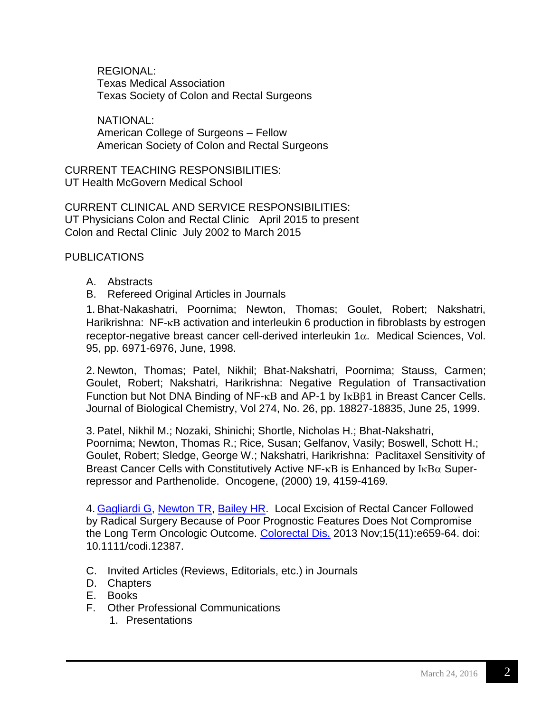REGIONAL: Texas Medical Association Texas Society of Colon and Rectal Surgeons

NATIONAL: American College of Surgeons – Fellow American Society of Colon and Rectal Surgeons

CURRENT TEACHING RESPONSIBILITIES: UT Health McGovern Medical School

CURRENT CLINICAL AND SERVICE RESPONSIBILITIES: UT Physicians Colon and Rectal Clinic April 2015 to present Colon and Rectal Clinic July 2002 to March 2015

**PUBLICATIONS** 

- A. Abstracts
- B. Refereed Original Articles in Journals

1. Bhat-Nakashatri, Poornima; Newton, Thomas; Goulet, Robert; Nakshatri, Harikrishna:  $NF$ - $\kappa B$  activation and interleukin 6 production in fibroblasts by estrogen receptor-negative breast cancer cell-derived interleukin  $1\alpha$ . Medical Sciences, Vol. 95, pp. 6971-6976, June, 1998.

2. Newton, Thomas; Patel, Nikhil; Bhat-Nakshatri, Poornima; Stauss, Carmen; Goulet, Robert; Nakshatri, Harikrishna: Negative Regulation of Transactivation Function but Not DNA Binding of  $NF$ - $\kappa$ B and AP-1 by  $I_{\kappa}$ B $\beta$ 1 in Breast Cancer Cells. Journal of Biological Chemistry, Vol 274, No. 26, pp. 18827-18835, June 25, 1999.

3. Patel, Nikhil M.; Nozaki, Shinichi; Shortle, Nicholas H.; Bhat-Nakshatri, Poornima; Newton, Thomas R.; Rice, Susan; Gelfanov, Vasily; Boswell, Schott H.; Goulet, Robert; Sledge, George W.; Nakshatri, Harikrishna: Paclitaxel Sensitivity of Breast Cancer Cells with Constitutively Active NF- $\kappa$ B is Enhanced by  $I\kappa B\alpha$  Superrepressor and Parthenolide. Oncogene, (2000) 19, 4159-4169.

4. [Gagliardi G,](http://www.ncbi.nlm.nih.gov/pubmed?term=Gagliardi%20G%5BAuthor%5D&cauthor=true&cauthor_uid=24033889) [Newton TR,](http://www.ncbi.nlm.nih.gov/pubmed?term=Newton%20TR%5BAuthor%5D&cauthor=true&cauthor_uid=24033889) [Bailey HR.](http://www.ncbi.nlm.nih.gov/pubmed?term=Bailey%20HR%5BAuthor%5D&cauthor=true&cauthor_uid=24033889) Local Excision of Rectal Cancer Followed by Radical Surgery Because of Poor Prognostic Features Does Not Compromise the Long Term Oncologic Outcome. [Colorectal Dis.](http://www.ncbi.nlm.nih.gov/pubmed/24033889) 2013 Nov;15(11):e659-64. doi: 10.1111/codi.12387.

- C. Invited Articles (Reviews, Editorials, etc.) in Journals
- D. Chapters
- E. Books
- F. Other Professional Communications
	- 1. Presentations